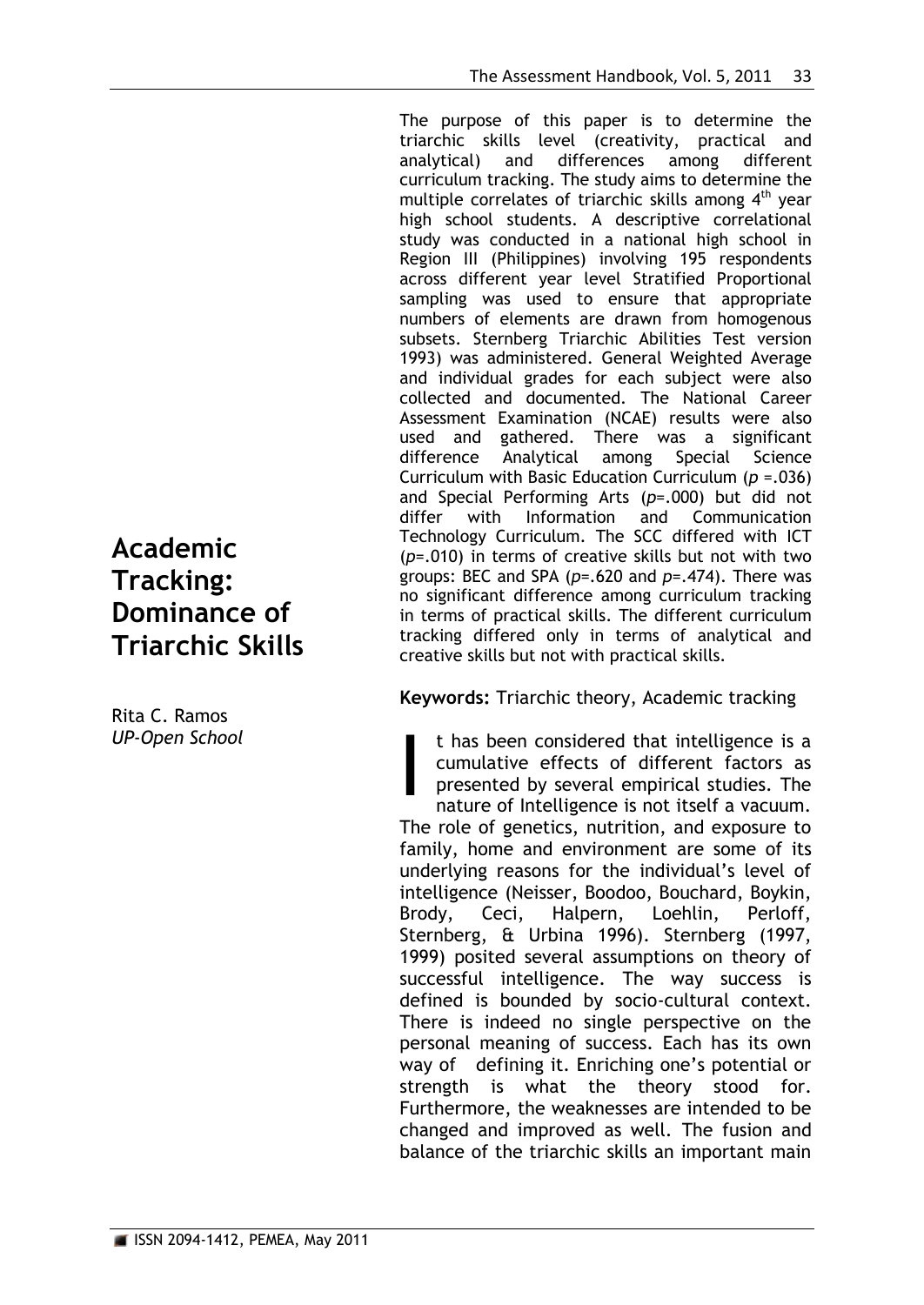The purpose of this paper is to determine the triarchic skills level (creativity, practical and analytical) and differences among different curriculum tracking. The study aims to determine the multiple correlates of triarchic skills among  $4<sup>th</sup>$  year high school students. A descriptive correlational study was conducted in a national high school in Region III (Philippines) involving 195 respondents across different year level Stratified Proportional sampling was used to ensure that appropriate numbers of elements are drawn from homogenous subsets. Sternberg Triarchic Abilities Test version 1993) was administered. General Weighted Average and individual grades for each subject were also collected and documented. The National Career Assessment Examination (NCAE) results were also used and gathered. There was a significant difference Analytical among Special Science Curriculum with Basic Education Curriculum (*p =*.036) and Special Performing Arts (*p*=.000) but did not differ with Information and Communication Technology Curriculum. The SCC differed with ICT (*p*=.010) in terms of creative skills but not with two groups: BEC and SPA (*p*=.620 and *p*=.474). There was no significant difference among curriculum tracking in terms of practical skills. The different curriculum tracking differed only in terms of analytical and creative skills but not with practical skills.

**Keywords:** Triarchic theory, Academic tracking

t has been considered that intelligence is a cumulative effects of different factors as presented by several empirical studies. The nature of Intelligence is not itself a vacuum. The role of genetics, nutrition, and exposure to family, home and environment are some of its underlying reasons for the individual's level of intelligence (Neisser, Boodoo, Bouchard, Boykin, Brody, Ceci, Halpern, Loehlin, Perloff, Sternberg, & Urbina 1996). Sternberg (1997, 1999) posited several assumptions on theory of successful intelligence. The way success is defined is bounded by socio-cultural context. There is indeed no single perspective on the personal meaning of success. Each has its own way of defining it. Enriching one's potential or strength is what the theory stood for. Furthermore, the weaknesses are intended to be changed and improved as well. The fusion and balance of the triarchic skills an important main I

# **Academic Tracking: Dominance of Triarchic Skills**

Rita C. Ramos *UP-Open School*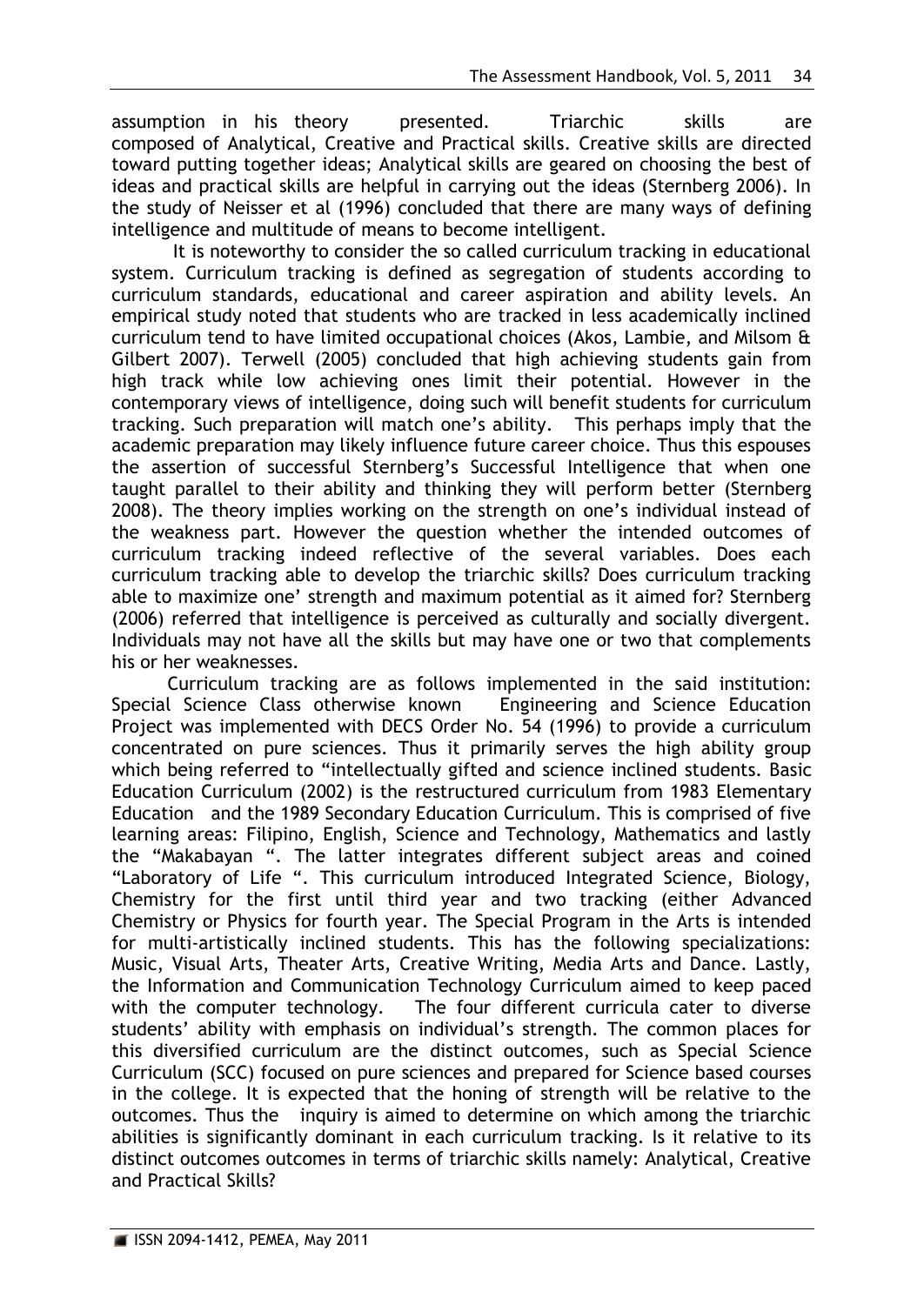assumption in his theory presented. Triarchic skills are composed of Analytical, Creative and Practical skills. Creative skills are directed toward putting together ideas; Analytical skills are geared on choosing the best of ideas and practical skills are helpful in carrying out the ideas (Sternberg 2006). In the study of Neisser et al (1996) concluded that there are many ways of defining intelligence and multitude of means to become intelligent.

It is noteworthy to consider the so called curriculum tracking in educational system. Curriculum tracking is defined as segregation of students according to curriculum standards, educational and career aspiration and ability levels. An empirical study noted that students who are tracked in less academically inclined curriculum tend to have limited occupational choices (Akos, Lambie, and Milsom & Gilbert 2007). Terwell (2005) concluded that high achieving students gain from high track while low achieving ones limit their potential. However in the contemporary views of intelligence, doing such will benefit students for curriculum tracking. Such preparation will match one's ability. This perhaps imply that the academic preparation may likely influence future career choice. Thus this espouses the assertion of successful Sternberg's Successful Intelligence that when one taught parallel to their ability and thinking they will perform better (Sternberg 2008). The theory implies working on the strength on one's individual instead of the weakness part. However the question whether the intended outcomes of curriculum tracking indeed reflective of the several variables. Does each curriculum tracking able to develop the triarchic skills? Does curriculum tracking able to maximize one' strength and maximum potential as it aimed for? Sternberg (2006) referred that intelligence is perceived as culturally and socially divergent. Individuals may not have all the skills but may have one or two that complements his or her weaknesses.

Curriculum tracking are as follows implemented in the said institution: Special Science Class otherwise known Engineering and Science Education Project was implemented with DECS Order No. 54 (1996) to provide a curriculum concentrated on pure sciences. Thus it primarily serves the high ability group which being referred to "intellectually gifted and science inclined students. Basic Education Curriculum (2002) is the restructured curriculum from 1983 Elementary Education and the 1989 Secondary Education Curriculum. This is comprised of five learning areas: Filipino, English, Science and Technology, Mathematics and lastly the "Makabayan ". The latter integrates different subject areas and coined "Laboratory of Life ". This curriculum introduced Integrated Science, Biology, Chemistry for the first until third year and two tracking (either Advanced Chemistry or Physics for fourth year. The Special Program in the Arts is intended for multi-artistically inclined students. This has the following specializations: Music, Visual Arts, Theater Arts, Creative Writing, Media Arts and Dance. Lastly, the Information and Communication Technology Curriculum aimed to keep paced with the computer technology. The four different curricula cater to diverse students' ability with emphasis on individual's strength. The common places for this diversified curriculum are the distinct outcomes, such as Special Science Curriculum (SCC) focused on pure sciences and prepared for Science based courses in the college. It is expected that the honing of strength will be relative to the outcomes. Thus the inquiry is aimed to determine on which among the triarchic abilities is significantly dominant in each curriculum tracking. Is it relative to its distinct outcomes outcomes in terms of triarchic skills namely: Analytical, Creative and Practical Skills?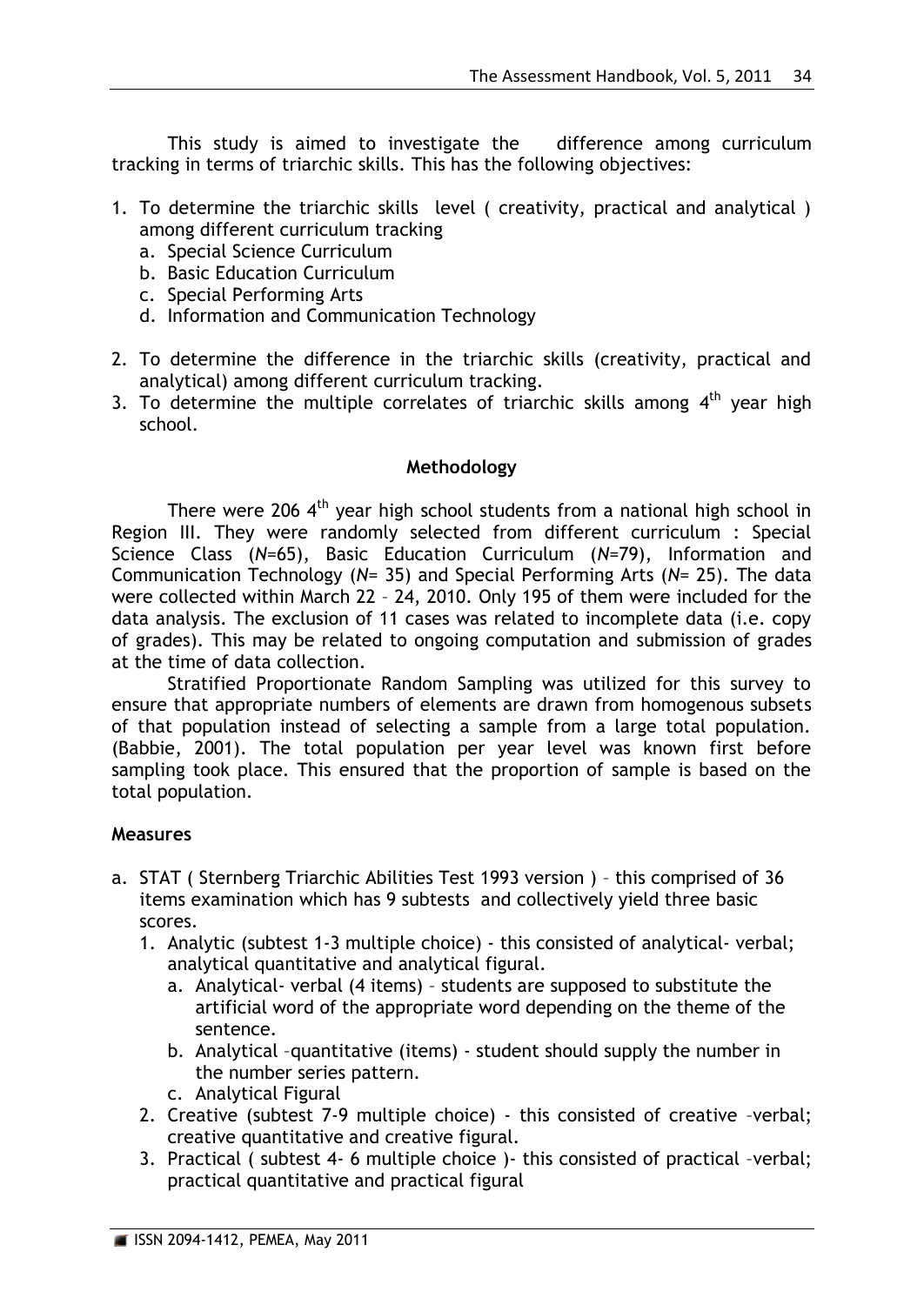This study is aimed to investigate the difference among curriculum tracking in terms of triarchic skills. This has the following objectives:

- 1. To determine the triarchic skills level ( creativity, practical and analytical ) among different curriculum tracking
	- a. Special Science Curriculum
	- b. Basic Education Curriculum
	- c. Special Performing Arts
	- d. Information and Communication Technology
- 2. To determine the difference in the triarchic skills (creativity, practical and analytical) among different curriculum tracking.
- 3. To determine the multiple correlates of triarchic skills among  $4<sup>th</sup>$  year high school.

### **Methodology**

There were 206  $4<sup>th</sup>$  year high school students from a national high school in Region III. They were randomly selected from different curriculum : Special Science Class (*N*=65), Basic Education Curriculum (*N*=79), Information and Communication Technology (*N*= 35) and Special Performing Arts (*N*= 25). The data were collected within March 22 – 24, 2010. Only 195 of them were included for the data analysis. The exclusion of 11 cases was related to incomplete data (i.e. copy of grades). This may be related to ongoing computation and submission of grades at the time of data collection.

Stratified Proportionate Random Sampling was utilized for this survey to ensure that appropriate numbers of elements are drawn from homogenous subsets of that population instead of selecting a sample from a large total population. (Babbie, 2001). The total population per year level was known first before sampling took place. This ensured that the proportion of sample is based on the total population.

## **Measures**

- a. STAT ( Sternberg Triarchic Abilities Test 1993 version ) this comprised of 36 items examination which has 9 subtests and collectively yield three basic scores.
	- 1. Analytic (subtest 1-3 multiple choice) this consisted of analytical- verbal; analytical quantitative and analytical figural.
		- a. Analytical- verbal (4 items) students are supposed to substitute the artificial word of the appropriate word depending on the theme of the sentence.
		- b. Analytical –quantitative (items) student should supply the number in the number series pattern.
		- c. Analytical Figural
	- 2. Creative (subtest 7-9 multiple choice) this consisted of creative –verbal; creative quantitative and creative figural.
	- 3. Practical ( subtest 4- 6 multiple choice )- this consisted of practical –verbal; practical quantitative and practical figural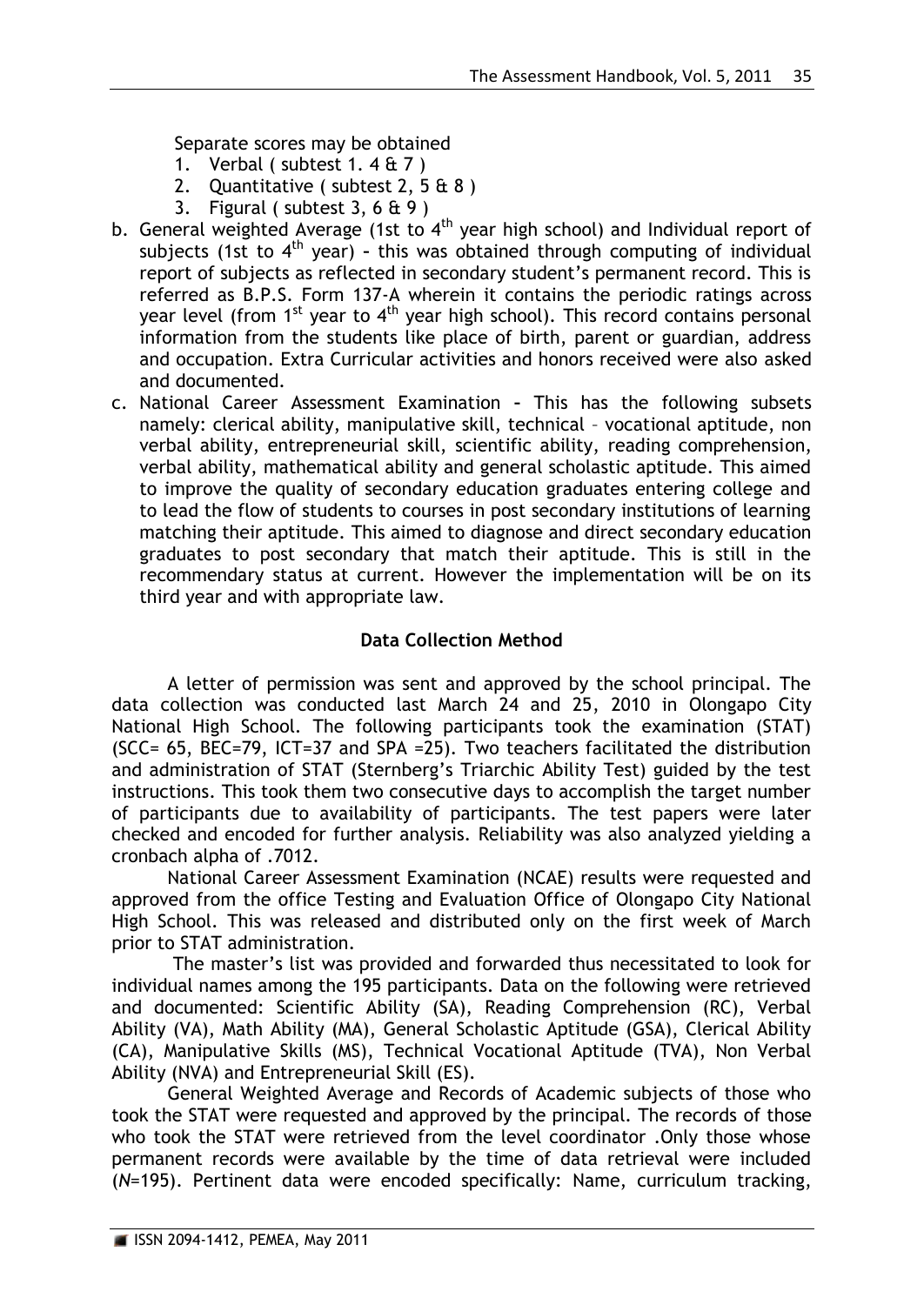Separate scores may be obtained

- 1. Verbal ( subtest  $1.4 \text{ ft}$  7 )
- 2. Quantitative ( subtest 2, 5 & 8 )
- 3. Figural (subtest  $3, 6 \text{ ft } 9$ )
- b. General weighted Average (1st to  $4<sup>th</sup>$  year high school) and Individual report of subjects (1st to 4<sup>th</sup> year) - this was obtained through computing of individual report of subjects as reflected in secondary student's permanent record. This is referred as B.P.S. Form 137-A wherein it contains the periodic ratings across year level (from  $1^{st}$  year to  $4^{th}$  year high school). This record contains personal information from the students like place of birth, parent or guardian, address and occupation. Extra Curricular activities and honors received were also asked and documented.
- c. National Career Assessment Examination **–** This has the following subsets namely: clerical ability, manipulative skill, technical – vocational aptitude, non verbal ability, entrepreneurial skill, scientific ability, reading comprehension, verbal ability, mathematical ability and general scholastic aptitude. This aimed to improve the quality of secondary education graduates entering college and to lead the flow of students to courses in post secondary institutions of learning matching their aptitude. This aimed to diagnose and direct secondary education graduates to post secondary that match their aptitude. This is still in the recommendary status at current. However the implementation will be on its third year and with appropriate law.

### **Data Collection Method**

A letter of permission was sent and approved by the school principal. The data collection was conducted last March 24 and 25, 2010 in Olongapo City National High School. The following participants took the examination (STAT) (SCC= 65, BEC=79, ICT=37 and SPA =25). Two teachers facilitated the distribution and administration of STAT (Sternberg's Triarchic Ability Test) guided by the test instructions. This took them two consecutive days to accomplish the target number of participants due to availability of participants. The test papers were later checked and encoded for further analysis. Reliability was also analyzed yielding a cronbach alpha of .7012.

National Career Assessment Examination (NCAE) results were requested and approved from the office Testing and Evaluation Office of Olongapo City National High School. This was released and distributed only on the first week of March prior to STAT administration.

The master's list was provided and forwarded thus necessitated to look for individual names among the 195 participants. Data on the following were retrieved and documented: Scientific Ability (SA), Reading Comprehension (RC), Verbal Ability (VA), Math Ability (MA), General Scholastic Aptitude (GSA), Clerical Ability (CA), Manipulative Skills (MS), Technical Vocational Aptitude (TVA), Non Verbal Ability (NVA) and Entrepreneurial Skill (ES).

General Weighted Average and Records of Academic subjects of those who took the STAT were requested and approved by the principal. The records of those who took the STAT were retrieved from the level coordinator . Only those whose permanent records were available by the time of data retrieval were included (*N*=195). Pertinent data were encoded specifically: Name, curriculum tracking,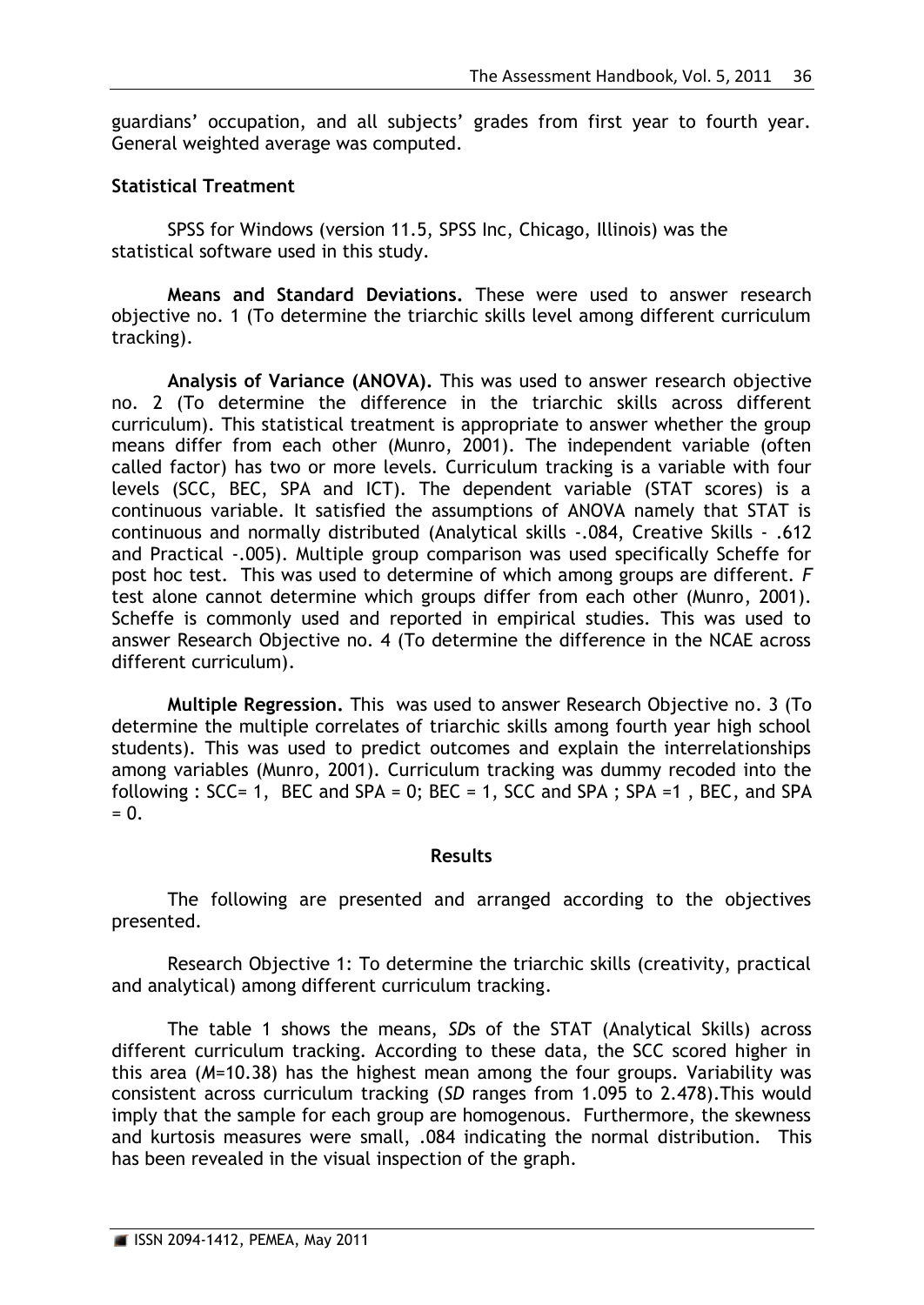guardians' occupation, and all subjects' grades from first year to fourth year. General weighted average was computed.

# **Statistical Treatment**

SPSS for Windows (version 11.5, SPSS Inc, Chicago, Illinois) was the statistical software used in this study.

**Means and Standard Deviations.** These were used to answer research objective no. 1 (To determine the triarchic skills level among different curriculum tracking).

**Analysis of Variance (ANOVA).** This was used to answer research objective no. 2 (To determine the difference in the triarchic skills across different curriculum). This statistical treatment is appropriate to answer whether the group means differ from each other (Munro, 2001). The independent variable (often called factor) has two or more levels. Curriculum tracking is a variable with four levels (SCC, BEC, SPA and ICT). The dependent variable (STAT scores) is a continuous variable. It satisfied the assumptions of ANOVA namely that STAT is continuous and normally distributed (Analytical skills -.084, Creative Skills - .612 and Practical -.005). Multiple group comparison was used specifically Scheffe for post hoc test. This was used to determine of which among groups are different. *F* test alone cannot determine which groups differ from each other (Munro, 2001). Scheffe is commonly used and reported in empirical studies. This was used to answer Research Objective no. 4 (To determine the difference in the NCAE across different curriculum).

**Multiple Regression.** This was used to answer Research Objective no. 3 (To determine the multiple correlates of triarchic skills among fourth year high school students). This was used to predict outcomes and explain the interrelationships among variables (Munro, 2001). Curriculum tracking was dummy recoded into the following :  $SCC = 1$ ,  $BEC$  and  $SPA = 0$ ;  $BEC = 1$ ,  $SCC$  and  $SPA$ ;  $SPA = 1$ ,  $BEC$ , and  $SPA$  $= 0.$ 

## **Results**

The following are presented and arranged according to the objectives presented.

Research Objective 1: To determine the triarchic skills (creativity, practical and analytical) among different curriculum tracking.

The table 1 shows the means, *SD*s of the STAT (Analytical Skills) across different curriculum tracking. According to these data, the SCC scored higher in this area (*M*=10.38) has the highest mean among the four groups. Variability was consistent across curriculum tracking (*SD* ranges from 1.095 to 2.478).This would imply that the sample for each group are homogenous. Furthermore, the skewness and kurtosis measures were small, .084 indicating the normal distribution. This has been revealed in the visual inspection of the graph.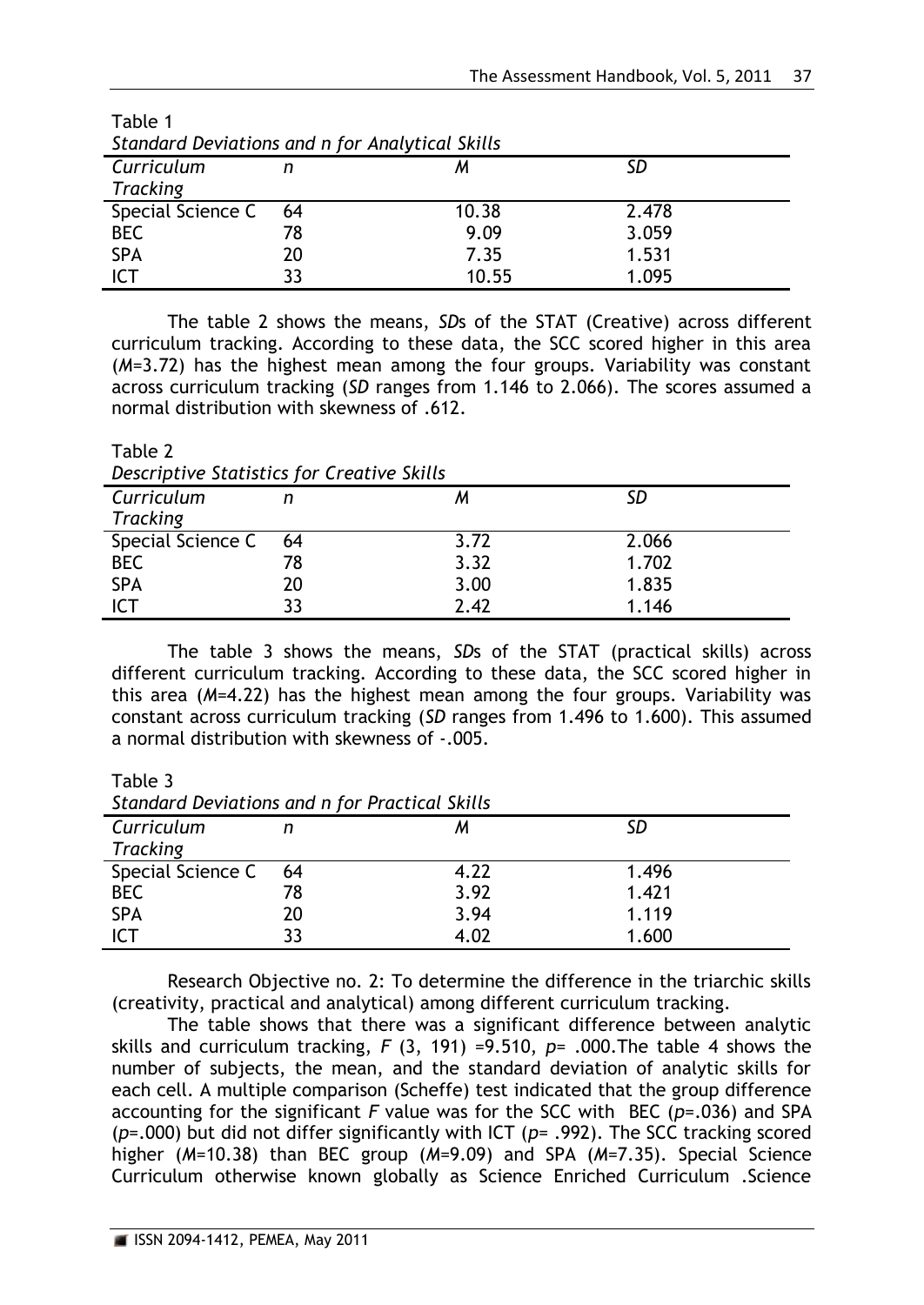| Standard Deviations and n for Analytical Skills |     |       |       |  |
|-------------------------------------------------|-----|-------|-------|--|
| Curriculum                                      |     |       |       |  |
| Tracking                                        |     |       |       |  |
| Special Science C                               | -64 | 10.38 | 2.478 |  |
| <b>BEC</b>                                      | 78  | 9.09  | 3.059 |  |
| <b>SPA</b>                                      | 20  | 7.35  | 1.531 |  |
| <b>ICT</b>                                      | 33  | 10.55 | 1.095 |  |

| Table 1 |  |                                                 |
|---------|--|-------------------------------------------------|
|         |  | Standard Deviations and n for Analytical Skills |
|         |  |                                                 |

The table 2 shows the means, *SD*s of the STAT (Creative) across different curriculum tracking. According to these data, the SCC scored higher in this area (*M*=3.72) has the highest mean among the four groups. Variability was constant across curriculum tracking (*SD* ranges from 1.146 to 2.066). The scores assumed a normal distribution with skewness of .612.

*Descriptive Statistics for Creative Skills Curriculum Tracking n M SD* Special Science C BEC SPA ICT 64 78 20 33 3.72 3.32 3.00 2.42 2.066 1.702 1.835 1.146

The table 3 shows the means, *SD*s of the STAT (practical skills) across different curriculum tracking. According to these data, the SCC scored higher in this area (*M*=4.22) has the highest mean among the four groups. Variability was constant across curriculum tracking (*SD* ranges from 1.496 to 1.600). This assumed a normal distribution with skewness of -.005.

Table 3

Table 2

*Standard Deviations and n for Practical Skills*

| 3.441 |      |       |  |  |
|-------|------|-------|--|--|
|       | м    |       |  |  |
|       |      |       |  |  |
| - 64  | 4.22 | 1.496 |  |  |
| 78    | 3.92 | 1.421 |  |  |
| 20    | 3.94 | 1.119 |  |  |
| 33    | 4.02 | 1.600 |  |  |
|       |      |       |  |  |

Research Objective no. 2: To determine the difference in the triarchic skills (creativity, practical and analytical) among different curriculum tracking.

The table shows that there was a significant difference between analytic skills and curriculum tracking, *F* (3, 191) =9.510, *p*= .000.The table 4 shows the number of subjects, the mean, and the standard deviation of analytic skills for each cell. A multiple comparison (Scheffe) test indicated that the group difference accounting for the significant *F* value was for the SCC with BEC (*p=*.036) and SPA (*p=*.000) but did not differ significantly with ICT (*p=* .992). The SCC tracking scored higher (*M*=10.38) than BEC group (*M*=9.09) and SPA (*M*=7.35). Special Science Curriculum otherwise known globally as Science Enriched Curriculum .Science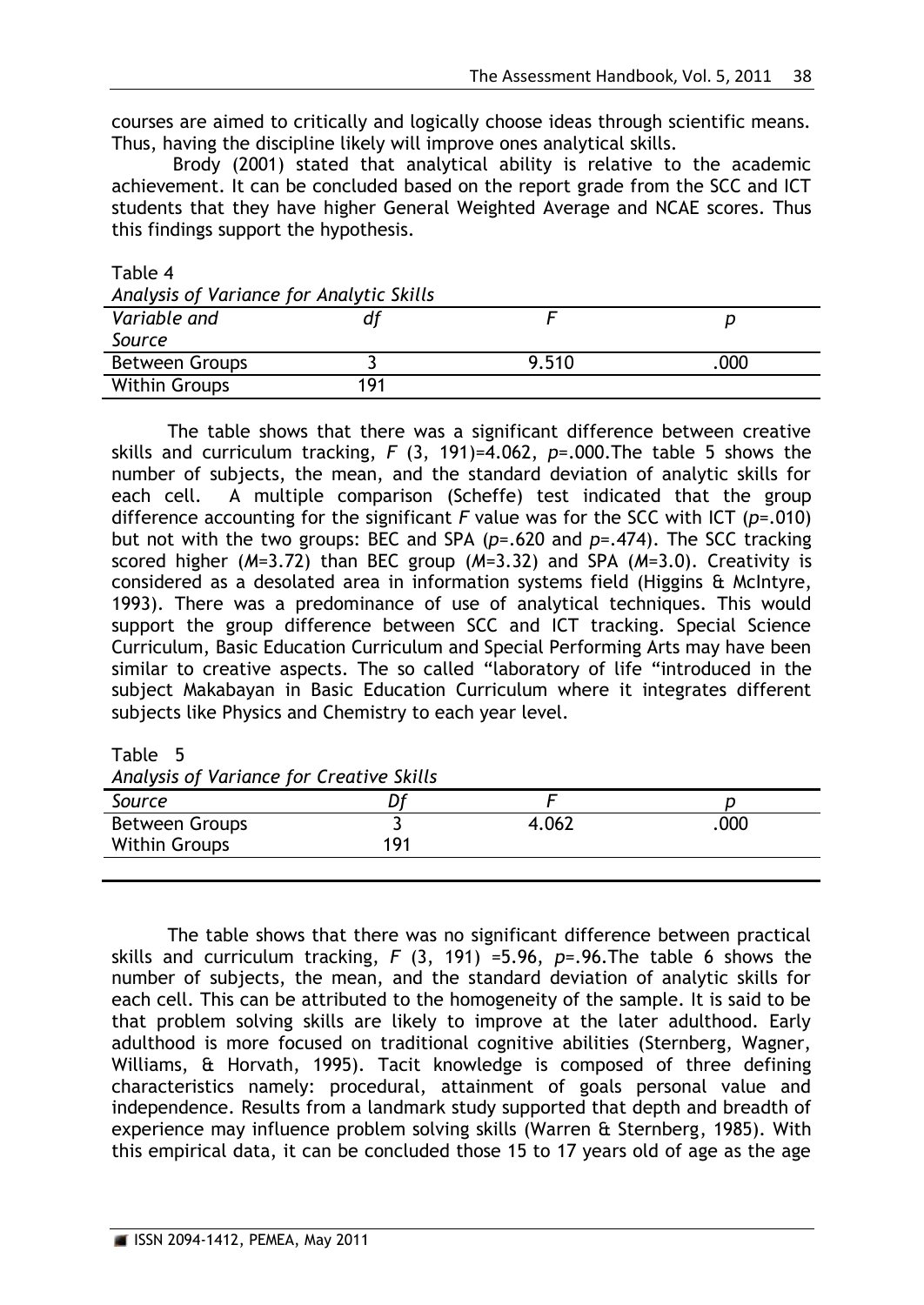courses are aimed to critically and logically choose ideas through scientific means. Thus, having the discipline likely will improve ones analytical skills.

Brody (2001) stated that analytical ability is relative to the academic achievement. It can be concluded based on the report grade from the SCC and ICT students that they have higher General Weighted Average and NCAE scores. Thus this findings support the hypothesis.

| Table 4 |  |
|---------|--|
|         |  |

| Analysis of Variance for Analytic Skills |     |       |     |  |  |
|------------------------------------------|-----|-------|-----|--|--|
| Variable and                             |     |       |     |  |  |
| Source                                   |     |       |     |  |  |
| Between Groups                           |     | 9.510 | 000 |  |  |
| <b>Within Groups</b>                     | 191 |       |     |  |  |

The table shows that there was a significant difference between creative skills and curriculum tracking, *F* (3, 191)=4.062, *p*=.000.The table 5 shows the number of subjects, the mean, and the standard deviation of analytic skills for each cell. A multiple comparison (Scheffe) test indicated that the group difference accounting for the significant *F* value was for the SCC with ICT (*p=*.010) but not with the two groups: BEC and SPA (p=.620 and p=.474). The SCC tracking scored higher (*M*=3.72) than BEC group (*M*=3.32) and SPA (*M*=3.0). Creativity is considered as a desolated area in information systems field (Higgins & McIntyre, 1993). There was a predominance of use of analytical techniques. This would support the group difference between SCC and ICT tracking. Special Science Curriculum, Basic Education Curriculum and Special Performing Arts may have been similar to creative aspects. The so called "laboratory of life "introduced in the subject Makabayan in Basic Education Curriculum where it integrates different subjects like Physics and Chemistry to each year level.

Table 5

| Analysis of Variance for Creative Skills |     |       |     |  |  |
|------------------------------------------|-----|-------|-----|--|--|
| Source                                   |     |       |     |  |  |
| <b>Between Groups</b>                    |     | 4.062 | 000 |  |  |
| <b>Within Groups</b>                     | 191 |       |     |  |  |
|                                          |     |       |     |  |  |

The table shows that there was no significant difference between practical skills and curriculum tracking, *F* (3, 191) =5.96, *p*=.96.The table 6 shows the number of subjects, the mean, and the standard deviation of analytic skills for each cell. This can be attributed to the homogeneity of the sample. It is said to be that problem solving skills are likely to improve at the later adulthood. Early adulthood is more focused on traditional cognitive abilities (Sternberg, Wagner, Williams, & Horvath, 1995). Tacit knowledge is composed of three defining characteristics namely: procedural, attainment of goals personal value and independence. Results from a landmark study supported that depth and breadth of experience may influence problem solving skills (Warren & Sternberg, 1985). With this empirical data, it can be concluded those 15 to 17 years old of age as the age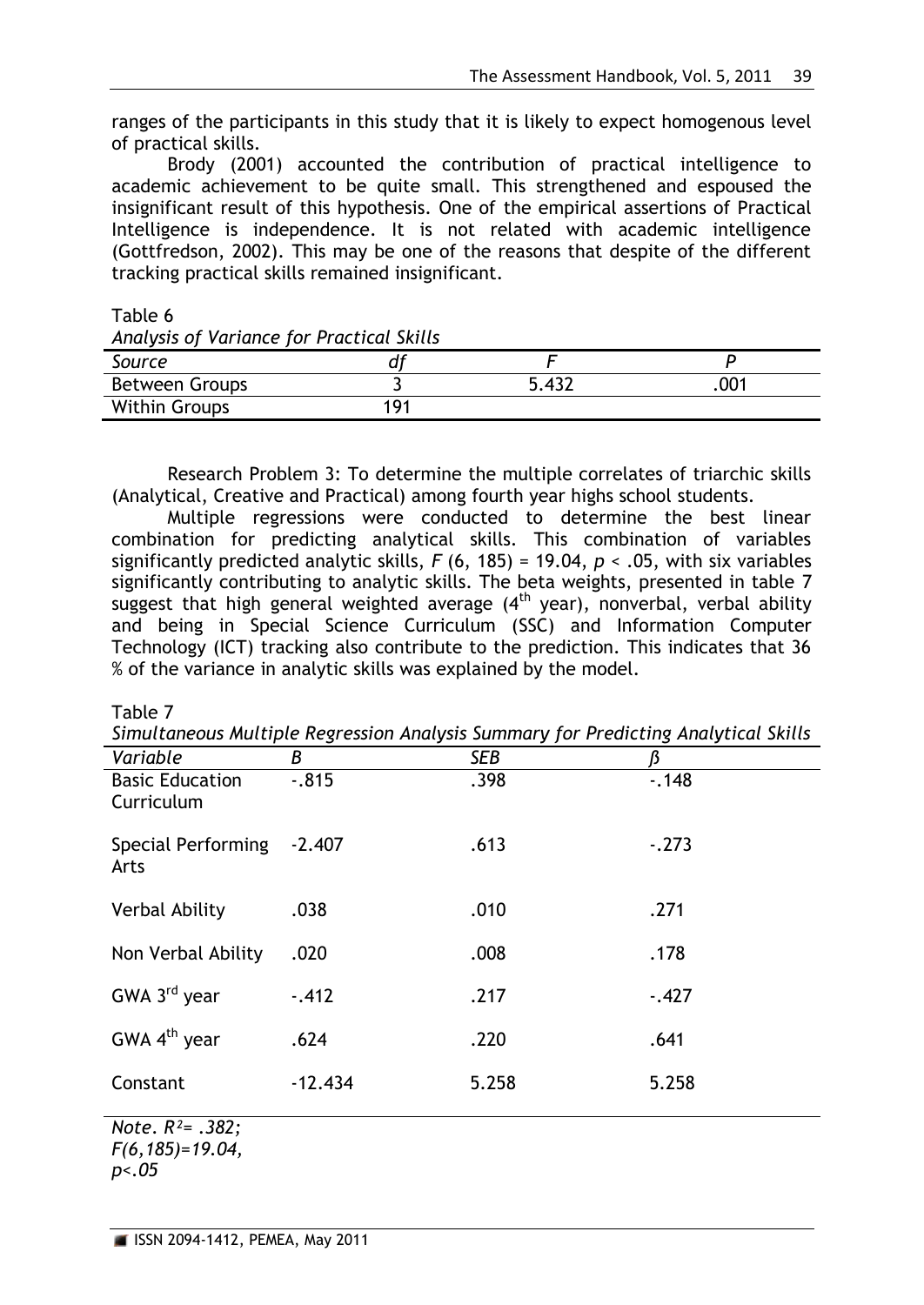ranges of the participants in this study that it is likely to expect homogenous level of practical skills.

Brody (2001) accounted the contribution of practical intelligence to academic achievement to be quite small. This strengthened and espoused the insignificant result of this hypothesis. One of the empirical assertions of Practical Intelligence is independence. It is not related with academic intelligence (Gottfredson, 2002). This may be one of the reasons that despite of the different tracking practical skills remained insignificant.

Table 6

| Analysis of Variance for Practical Skills |     |       |  |  |  |
|-------------------------------------------|-----|-------|--|--|--|
| Source                                    |     |       |  |  |  |
| <b>Between Groups</b>                     |     | 5.432 |  |  |  |
| <b>Within Groups</b>                      | 191 |       |  |  |  |

Research Problem 3: To determine the multiple correlates of triarchic skills (Analytical, Creative and Practical) among fourth year highs school students.

Multiple regressions were conducted to determine the best linear combination for predicting analytical skills. This combination of variables significantly predicted analytic skills, *F* (6, 185) = 19.04, *p* < .05, with six variables significantly contributing to analytic skills. The beta weights, presented in table 7 suggest that high general weighted average  $(4<sup>th</sup>$  year), nonverbal, verbal ability and being in Special Science Curriculum (SSC) and Information Computer Technology (ICT) tracking also contribute to the prediction. This indicates that 36 % of the variance in analytic skills was explained by the model.

Table 7

*Simultaneous Multiple Regression Analysis Summary for Predicting Analytical Skills*

|                                      |           | , ,        |          |
|--------------------------------------|-----------|------------|----------|
| Variable                             | B         | <b>SEB</b> |          |
| <b>Basic Education</b><br>Curriculum | $-0.815$  | .398       | $-0.148$ |
| Special Performing<br>Arts           | $-2.407$  | .613       | $-.273$  |
| <b>Verbal Ability</b>                | .038      | .010       | .271     |
| Non Verbal Ability                   | .020      | .008       | .178     |
| GWA 3 <sup>rd</sup> year             | $-.412$   | .217       | $-.427$  |
| GWA $4th$ year                       | .624      | .220       | .641     |
| Constant                             | $-12.434$ | 5.258      | 5.258    |
| N <sub>ofo</sub> D <sub>2</sub> 282. |           |            |          |

*Note*. *R²= .382; F(6,185)=19.04, p<.05*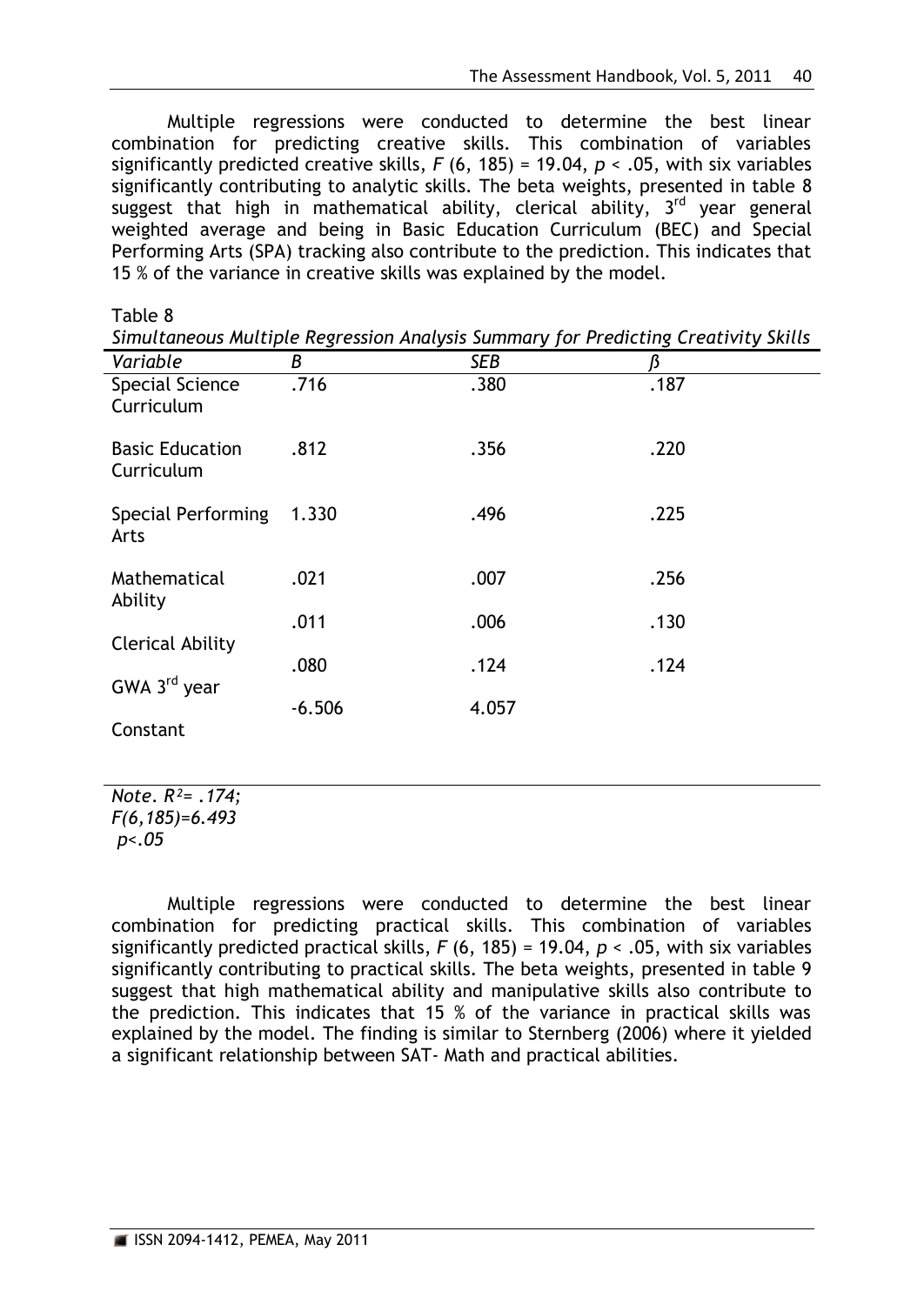Multiple regressions were conducted to determine the best linear combination for predicting creative skills. This combination of variables significantly predicted creative skills, *F* (6, 185) = 19.04, *p* < .05, with six variables significantly contributing to analytic skills. The beta weights, presented in table 8 suggest that high in mathematical ability, clerical ability, 3<sup>rd</sup> year general weighted average and being in Basic Education Curriculum (BEC) and Special Performing Arts (SPA) tracking also contribute to the prediction. This indicates that 15 % of the variance in creative skills was explained by the model.

| Table 8                              |                                                                                    |       |      |  |  |
|--------------------------------------|------------------------------------------------------------------------------------|-------|------|--|--|
|                                      | Simultaneous Multiple Regression Analysis Summary for Predicting Creativity Skills |       |      |  |  |
| Variable                             | В                                                                                  | SEB   | ß    |  |  |
| <b>Special Science</b><br>Curriculum | .716                                                                               | .380  | .187 |  |  |
| <b>Basic Education</b><br>Curriculum | .812                                                                               | .356  | .220 |  |  |
| <b>Special Performing</b><br>Arts    | 1.330                                                                              | .496  | .225 |  |  |
| Mathematical<br>Ability              | .021                                                                               | .007  | .256 |  |  |
| <b>Clerical Ability</b>              | .011                                                                               | .006  | .130 |  |  |
| GWA 3 <sup>rd</sup> year             | .080                                                                               | .124  | .124 |  |  |
|                                      | $-6.506$                                                                           | 4.057 |      |  |  |
| Constant                             |                                                                                    |       |      |  |  |

*Note*. *R²= .174; F(6,185)=6.493 p<.05*

Multiple regressions were conducted to determine the best linear combination for predicting practical skills. This combination of variables significantly predicted practical skills, *F* (6, 185) = 19.04, *p* < .05, with six variables significantly contributing to practical skills. The beta weights, presented in table 9 suggest that high mathematical ability and manipulative skills also contribute to the prediction. This indicates that 15 % of the variance in practical skills was explained by the model. The finding is similar to Sternberg (2006) where it yielded a significant relationship between SAT- Math and practical abilities.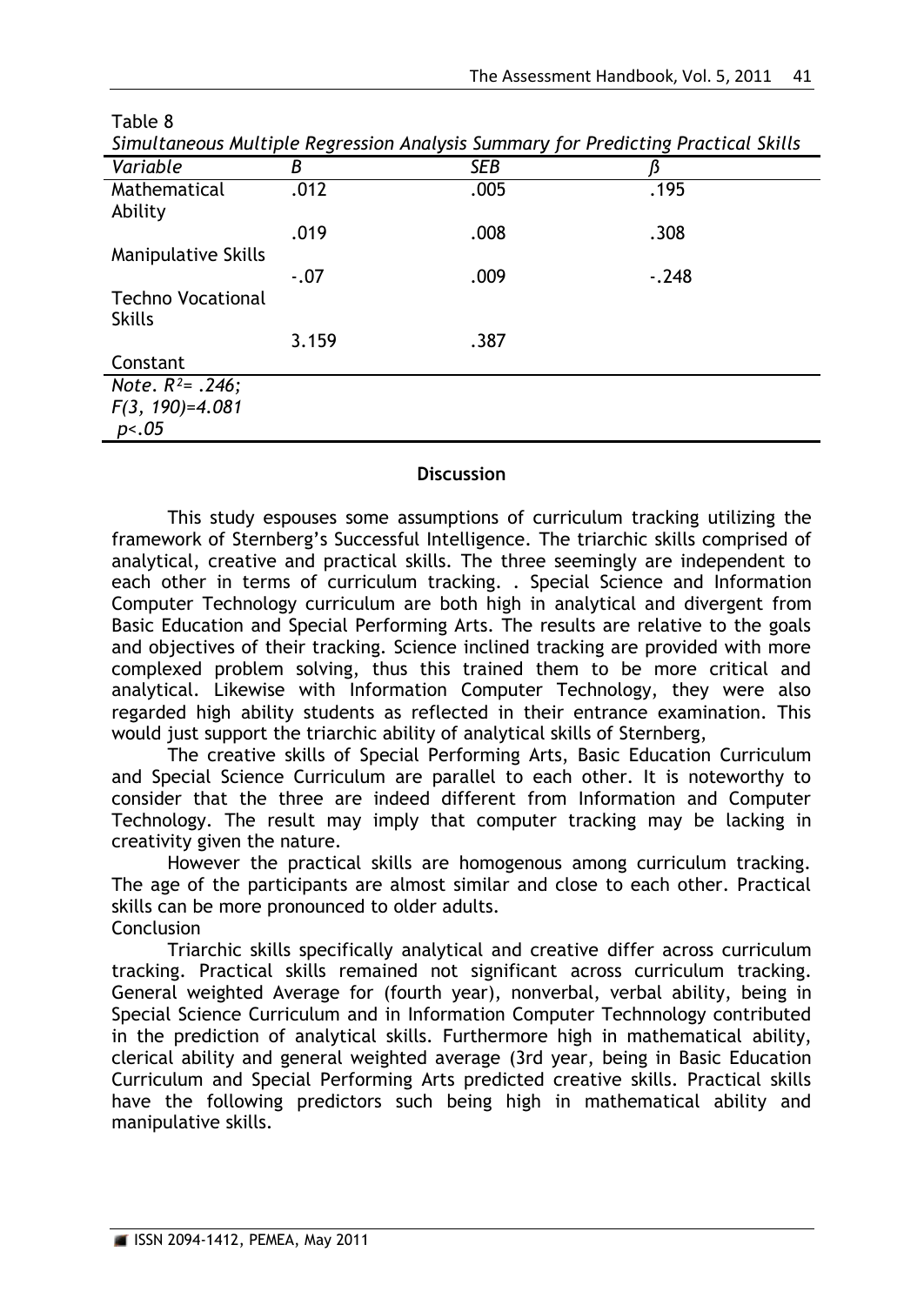| sunatuneous materple negression ruiatysis saniniai y joi in careenigh racereat sititis |        |            |         |  |
|----------------------------------------------------------------------------------------|--------|------------|---------|--|
| Variable                                                                               | В      | <b>SEB</b> |         |  |
| Mathematical                                                                           | .012   | .005       | .195    |  |
| Ability                                                                                |        |            |         |  |
|                                                                                        | .019   | .008       | .308    |  |
| <b>Manipulative Skills</b>                                                             |        |            |         |  |
|                                                                                        | $-.07$ | .009       | $-.248$ |  |
| <b>Techno Vocational</b>                                                               |        |            |         |  |
| <b>Skills</b>                                                                          |        |            |         |  |
|                                                                                        | 3.159  | .387       |         |  |
| Constant                                                                               |        |            |         |  |
| Note. $R^2$ = .246;                                                                    |        |            |         |  |
| $F(3, 190)=4.081$                                                                      |        |            |         |  |
| p<.05                                                                                  |        |            |         |  |

Table 8

*Simultaneous Multiple Regression Analysis Summary for Predicting Practical Skills*

## **Discussion**

This study espouses some assumptions of curriculum tracking utilizing the framework of Sternberg's Successful Intelligence. The triarchic skills comprised of analytical, creative and practical skills. The three seemingly are independent to each other in terms of curriculum tracking. . Special Science and Information Computer Technology curriculum are both high in analytical and divergent from Basic Education and Special Performing Arts. The results are relative to the goals and objectives of their tracking. Science inclined tracking are provided with more complexed problem solving, thus this trained them to be more critical and analytical. Likewise with Information Computer Technology, they were also regarded high ability students as reflected in their entrance examination. This would just support the triarchic ability of analytical skills of Sternberg,

The creative skills of Special Performing Arts, Basic Education Curriculum and Special Science Curriculum are parallel to each other. It is noteworthy to consider that the three are indeed different from Information and Computer Technology. The result may imply that computer tracking may be lacking in creativity given the nature.

However the practical skills are homogenous among curriculum tracking. The age of the participants are almost similar and close to each other. Practical skills can be more pronounced to older adults. **Conclusion** 

Triarchic skills specifically analytical and creative differ across curriculum tracking. Practical skills remained not significant across curriculum tracking. General weighted Average for (fourth year), nonverbal, verbal ability, being in Special Science Curriculum and in Information Computer Technnology contributed in the prediction of analytical skills. Furthermore high in mathematical ability, clerical ability and general weighted average (3rd year, being in Basic Education Curriculum and Special Performing Arts predicted creative skills. Practical skills have the following predictors such being high in mathematical ability and manipulative skills.